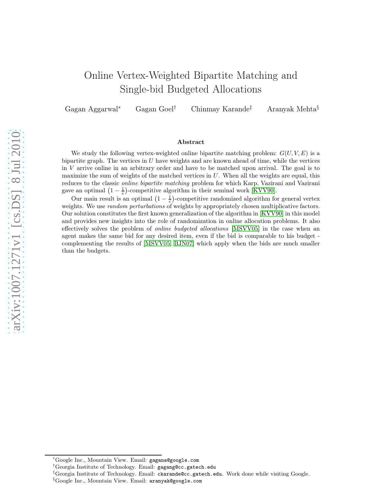# Online Vertex-Weighted Bipartite Matching and Single-bid Budgeted Allocations

Gagan Aggarwal Gagan Goel<sup>†</sup> Chinmay Karande<sup>†</sup> ‡ Aranyak Mehta §

#### Abstract

We study the following vertex-weighted online bipartite matching problem:  $G(U, V, E)$  is a bipartite graph. The vertices in  $U$  have weights and are known ahead of time, while the vertices in V arrive online in an arbitrary order and have to be matched upon arrival. The goal is to maximize the sum of weights of the matched vertices in  $U$ . When all the weights are equal, this reduces to the classic online bipartite matching problem for which Karp, Vazirani and Vazirani gave an optimal  $(1 - \frac{1}{e})$ -competitive algorithm in their seminal work [\[KVV90\]](#page-11-0).

Our main result is an optimal  $\left(1-\frac{1}{e}\right)$ -competitive randomized algorithm for general vertex weights. We use *random perturbations* of weights by appropriately chosen multiplicative factors. Our solution constitutes the first known generalization of the algorithm in [\[KVV90\]](#page-11-0) in this model and provides new insights into the role of randomization in online allocation problems. It also effectively solves the problem of online budgeted allocations [\[MSVV05\]](#page-11-1) in the case when an agent makes the same bid for any desired item, even if the bid is comparable to his budget complementing the results of [\[MSVV05,](#page-11-1) [BJN07\]](#page-11-2) which apply when the bids are much smaller than the budgets.

<sup>∗</sup>Google Inc., Mountain View. Email: gagana@google.com

<sup>†</sup>Georgia Institute of Technology. Email: gagang@cc.gatech.edu

<sup>‡</sup>Georgia Institute of Technology. Email: ckarande@cc.gatech.edu. Work done while visiting Google.

<sup>§</sup>Google Inc., Mountain View. Email: aranyak@google.com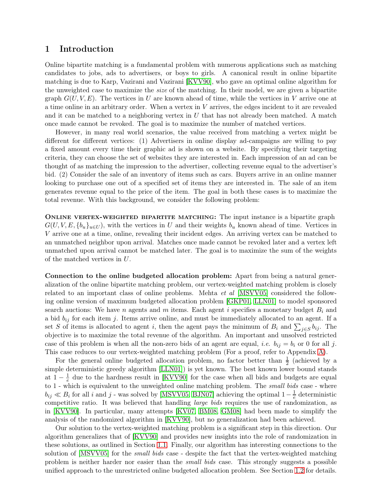### 1 Introduction

Online bipartite matching is a fundamental problem with numerous applications such as matching candidates to jobs, ads to advertisers, or boys to girls. A canonical result in online bipartite matching is due to Karp, Vazirani and Vazirani [\[KVV90\]](#page-11-0), who gave an optimal online algorithm for the unweighted case to maximize the size of the matching. In their model, we are given a bipartite graph  $G(U, V, E)$ . The vertices in U are known ahead of time, while the vertices in V arrive one at a time online in an arbitrary order. When a vertex in V arrives, the edges incident to it are revealed and it can be matched to a neighboring vertex in  $U$  that has not already been matched. A match once made cannot be revoked. The goal is to maximize the number of matched vertices.

However, in many real world scenarios, the value received from matching a vertex might be different for different vertices: (1) Advertisers in online display ad-campaigns are willing to pay a fixed amount every time their graphic ad is shown on a website. By specifying their targeting criteria, they can choose the set of websites they are interested in. Each impression of an ad can be thought of as matching the impression to the advertiser, collecting revenue equal to the advertiser's bid. (2) Consider the sale of an inventory of items such as cars. Buyers arrive in an online manner looking to purchase one out of a specified set of items they are interested in. The sale of an item generates revenue equal to the price of the item. The goal in both these cases is to maximize the total revenue. With this background, we consider the following problem:

ONLINE VERTEX-WEIGHTED BIPARTITE MATCHING: The input instance is a bipartite graph  $G(U, V, E, \{b_u\}_{u\in U})$ , with the vertices in U and their weights  $b_u$  known ahead of time. Vertices in V arrive one at a time, online, revealing their incident edges. An arriving vertex can be matched to an unmatched neighbor upon arrival. Matches once made cannot be revoked later and a vertex left unmatched upon arrival cannot be matched later. The goal is to maximize the sum of the weights of the matched vertices in U.

Connection to the online budgeted allocation problem: Apart from being a natural generalization of the online bipartite matching problem, our vertex-weighted matching problem is closely related to an important class of online problems. Mehta et al [\[MSVV05\]](#page-11-1) considered the following online version of maximum budgeted allocation problem [\[GKP01,](#page-11-3) [LLN01\]](#page-11-4) to model sponsored search auctions: We have n agents and m items. Each agent i specifies a monetary budget  $B_i$  and a bid  $b_{ij}$  for each item j. Items arrive online, and must be immediately allocated to an agent. If a set S of items is allocated to agent i, then the agent pays the minimum of  $B_i$  and  $\sum_{j\in S} b_{ij}$ . The objective is to maximize the total revenue of the algorithm. An important and unsolved restricted case of this problem is when all the non-zero bids of an agent are equal, *i.e.*  $b_{ij} = b_i$  or 0 for all j. This case reduces to our vertex-weighted matching problem (For a proof, refer to Appendix [A\)](#page-12-0).

For the general online budgeted allocation problem, no factor better than  $\frac{1}{2}$  (achieved by a simple deterministic greedy algorithm [\[LLN01\]](#page-11-4)) is yet known. The best known lower bound stands at  $1 - \frac{1}{e}$  due to the hardness result in [\[KVV90\]](#page-11-0) for the case when all bids and budgets are equal to 1 - which is equivalent to the unweighted online matching problem. The small bids case - where  $b_{ij} \ll B_i$  for all i and j - was solved by [\[MSVV05,](#page-11-1) [BJN07\]](#page-11-2) achieving the optimal  $1-\frac{1}{e}$  deterministic competitive ratio. It was believed that handling large bids requires the use of randomization, as in [\[KVV90\]](#page-11-0). In particular, many attempts [\[KV07,](#page-11-5) [BM08,](#page-11-6) [GM08\]](#page-11-7) had been made to simplify the analysis of the randomized algorithm in [\[KVV90\]](#page-11-0), but no generalization had been achieved.

Our solution to the vertex-weighted matching problem is a significant step in this direction. Our algorithm generalizes that of [\[KVV90\]](#page-11-0) and provides new insights into the role of randomization in these solutions, as outlined in Section [1.1.](#page-2-0) Finally, our algorithm has interesting connections to the solution of [\[MSVV05\]](#page-11-1) for the *small bids* case - despite the fact that the vertex-weighted matching problem is neither harder nor easier than the small bids case. This strongly suggests a possible unified approach to the unrestricted online budgeted allocation problem. See Section [1.2](#page-3-0) for details.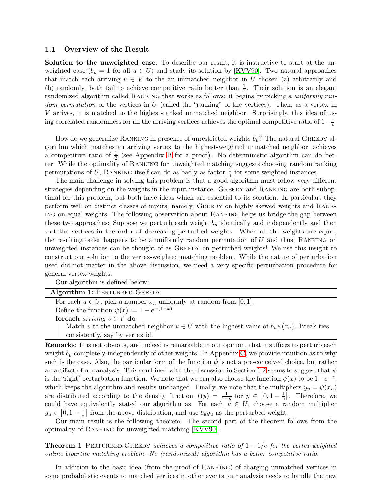#### <span id="page-2-0"></span>1.1 Overview of the Result

Solution to the unweighted case: To describe our result, it is instructive to start at the unweighted case  $(b_u = 1$  for all  $u \in U$ ) and study its solution by [\[KVV90\]](#page-11-0). Two natural approaches that match each arriving  $v \in V$  to the an unmatched neighbor in U chosen (a) arbitrarily and (b) randomly, both fail to achieve competitive ratio better than  $\frac{1}{2}$ . Their solution is an elegant randomized algorithm called RANKING that works as follows: it begins by picking a uniformly ran*dom permutation* of the vertices in  $U$  (called the "ranking" of the vertices). Then, as a vertex in V arrives, it is matched to the highest-ranked unmatched neighbor. Surprisingly, this idea of using correlated randomness for all the arriving vertices achieves the optimal competitive ratio of  $1-\frac{1}{e}$ .

How do we generalize RANKING in presence of unrestricted weights  $b_u$ ? The natural GREEDY algorithm which matches an arriving vertex to the highest-weighted unmatched neighbor, achieves a competitive ratio of  $\frac{1}{2}$  (see Appendix [B](#page-13-0) for a proof). No deterministic algorithm can do better. While the optimality of RANKING for unweighted matching suggests choosing random ranking permutations of U, RANKING itself can do as badly as factor  $\frac{1}{n}$  for some weighted instances.

The main challenge in solving this problem is that a good algorithm must follow very different strategies depending on the weights in the input instance. GREEDY and RANKING are both suboptimal for this problem, but both have ideas which are essential to its solution. In particular, they perform well on distinct classes of inputs, namely, Greedy on highly skewed weights and Ranking on equal weights. The following observation about Ranking helps us bridge the gap between these two approaches: Suppose we perturb each weight  $b<sub>u</sub>$  identically and independently and then sort the vertices in the order of decreasing perturbed weights. When all the weights are equal, the resulting order happens to be a uniformly random permutation of  $U$  and thus, RANKING on unweighted instances can be thought of as Greedy on perturbed weights! We use this insight to construct our solution to the vertex-weighted matching problem. While the nature of perturbation used did not matter in the above discussion, we need a very specific perturbation procedure for general vertex-weights.

Our algorithm is defined below:

| Algorithm 1: PERTURBED-GREEDY                                             |
|---------------------------------------------------------------------------|
| For each $u \in U$ , pick a number $x_u$ uniformly at random from [0, 1]. |
| Define the function $\psi(x) := 1 - e^{-(1-x)}$ .                         |

foreach *arriving*  $v \in V$  do

Match v to the unmatched neighbor  $u \in U$  with the highest value of  $b_u \psi(x_u)$ . Break ties consistently, say by vertex id.

Remarks: It is not obvious, and indeed is remarkable in our opinion, that it suffices to perturb each weight  $b_u$  completely independently of other weights. In Appendix [C,](#page-14-0) we provide intuition as to why such is the case. Also, the particular form of the function  $\psi$  is not a pre-conceived choice, but rather an artifact of our analysis. This combined with the discussion in Section [1.2](#page-3-0) seems to suggest that  $\psi$ is the 'right' perturbation function. We note that we can also choose the function  $\psi(x)$  to be  $1-e^{-x}$ , which keeps the algorithm and results unchanged. Finally, we note that the multipliers  $y_u = \psi(x_u)$ are distributed according to the density function  $f(y) = \frac{1}{1-y}$  for  $y \in [0, 1 - \frac{1}{e}]$  $\frac{1}{e}$ . Therefore, we could have equivalently stated our algorithm as: For each  $u \in U$ , choose a random multiplier  $y_u \in [0, 1 - \frac{1}{e}]$  from the above distribution, and use  $b_u y_u$  as the perturbed weight.

<span id="page-2-1"></span>Our main result is the following theorem. The second part of the theorem follows from the optimality of Ranking for unweighted matching [\[KVV90\]](#page-11-0).

**Theorem 1** PERTURBED-GREEDY achieves a competitive ratio of  $1 - 1/e$  for the vertex-weighted online bipartite matching problem. No (randomized) algorithm has a better competitive ratio.

In addition to the basic idea (from the proof of Ranking) of charging unmatched vertices in some probabilistic events to matched vertices in other events, our analysis needs to handle the new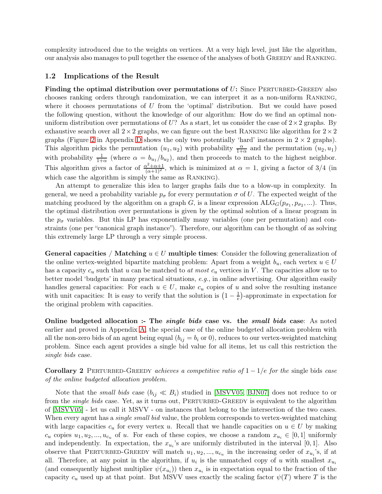complexity introduced due to the weights on vertices. At a very high level, just like the algorithm, our analysis also manages to pull together the essence of the analyses of both Greedy and Ranking.

#### <span id="page-3-0"></span>1.2 Implications of the Result

Finding the optimal distribution over permutations of  $U$ : Since PERTURBED-GREEDY also chooses ranking orders through randomization, we can interpret it as a non-uniform Ranking, where it chooses permutations of  $U$  from the 'optimal' distribution. But we could have posed the following question, without the knowledge of our algorithm: How do we find an optimal nonuniform distribution over permutations of U? As a start, let us consider the case of  $2\times 2$  graphs. By exhaustive search over all  $2\times 2$  graphs, we can figure out the best RANKING like algorithm for  $2\times 2$ graphs (Figure [2](#page-15-0) in Appendix [D](#page-14-1) shows the only two potentially 'hard' instances in  $2 \times 2$  graphs). This algorithm picks the permutation  $(u_1, u_2)$  with probability  $\frac{\alpha}{1+\alpha}$  and the permutation  $(u_2, u_1)$ with probability  $\frac{1}{1+\alpha}$  (where  $\alpha = b_{u_1}/b_{u_2}$ ), and then proceeds to match to the highest neighbor. This algorithm gives a factor of  $\frac{\alpha^2+\alpha+1}{(\alpha+1)^2}$ , which is minimized at  $\alpha=1$ , giving a factor of 3/4 (in which case the algorithm is simply the same as RANKING.

An attempt to generalize this idea to larger graphs fails due to a blow-up in complexity. In general, we need a probability variable  $p_{\sigma}$  for every permutation  $\sigma$  of U. The expected weight of the matching produced by the algorithm on a graph G, is a linear expression  $\text{ALG}_G(p_{\sigma_1}, p_{\sigma_2}, ...)$ . Thus, the optimal distribution over permutations is given by the optimal solution of a linear program in the  $p_{\sigma}$  variables. But this LP has exponentially many variables (one per permutation) and constraints (one per "canonical graph instance"). Therefore, our algorithm can be thought of as solving this extremely large LP through a very simple process.

General capacities / Matching  $u \in U$  multiple times: Consider the following generalization of the online vertex-weighted bipartite matching problem: Apart from a weight  $b_u$ , each vertex  $u \in U$ has a capacity  $c_u$  such that u can be matched to at most  $c_u$  vertices in V. The capacities allow us to better model 'budgets' in many practical situations,  $e.g.,$  in online advertising. Our algorithm easily handles general capacities: For each  $u \in U$ , make  $c_u$  copies of u and solve the resulting instance with unit capacities: It is easy to verify that the solution is  $\left(1-\frac{1}{e}\right)$  $\frac{1}{e}$ )-approximate in expectation for the original problem with capacities.

Online budgeted allocation :- The *single bids* case vs. the *small bids* case: As noted earlier and proved in Appendix [A,](#page-12-0) the special case of the online budgeted allocation problem with all the non-zero bids of an agent being equal  $(b_{ij} = b_i \text{ or } 0)$ , reduces to our vertex-weighted matching problem. Since each agent provides a single bid value for all items, let us call this restriction the single bids case.

Corollary 2 PERTURBED-GREEDY achieves a competitive ratio of  $1 - 1/e$  for the single bids case of the online budgeted allocation problem.

Note that the *small bids* case  $(b_{ij} \ll B_i)$  studied in [\[MSVV05,](#page-11-1) [BJN07\]](#page-11-2) does not reduce to or from the *single bids* case. Yet, as it turns out, PERTURBED-GREEDY is equivalent to the algorithm of [\[MSVV05\]](#page-11-1) - let us call it MSVV - on instances that belong to the intersection of the two cases. When every agent has a *single small bid* value, the problem corresponds to vertex-weighted matching with large capacities  $c_u$  for every vertex u. Recall that we handle capacities on  $u \in U$  by making  $c_u$  copies  $u_1, u_2, ..., u_{c_u}$  of u. For each of these copies, we choose a random  $x_{u_i} \in [0,1]$  uniformly and independently. In expectation, the  $x_{u_i}$ 's are uniformly distributed in the interval [0, 1]. Also observe that PERTURBED-GREEDY will match  $u_1, u_2, ..., u_{c_u}$  in the increasing order of  $x_{u_i}$ 's, if at all. Therefore, at any point in the algorithm, if  $u_i$  is the unmatched copy of u with smallest  $x_{u_i}$ (and consequently highest multiplier  $\psi(x_{u_i})$ ) then  $x_{u_i}$  is in expectation equal to the fraction of the capacity  $c_u$  used up at that point. But MSVV uses exactly the scaling factor  $\psi(T)$  where T is the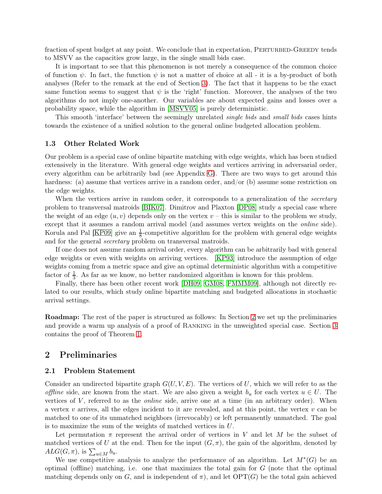fraction of spent budget at any point. We conclude that in expectation, PERTURBED-GREEDY tends to MSVV as the capacities grow large, in the single small bids case.

It is important to see that this phenomenon is not merely a consequence of the common choice of function  $\psi$ . In fact, the function  $\psi$  is not a matter of choice at all - it is a by-product of both analyses (Refer to the remark at the end of Section [3\)](#page-6-0). The fact that it happens to be the exact same function seems to suggest that  $\psi$  is the 'right' function. Moreover, the analyses of the two algorithms do not imply one-another. Our variables are about expected gains and losses over a probability space, while the algorithm in [\[MSVV05\]](#page-11-1) is purely deterministic.

This smooth 'interface' between the seemingly unrelated *single bids* and *small bids* cases hints towards the existence of a unified solution to the general online budgeted allocation problem.

#### 1.3 Other Related Work

Our problem is a special case of online bipartite matching with edge weights, which has been studied extensively in the literature. With general edge weights and vertices arriving in adversarial order, every algorithm can be arbitrarily bad (see Appendix [G\)](#page-16-0). There are two ways to get around this hardness: (a) assume that vertices arrive in a random order, and/or (b) assume some restriction on the edge weights.

When the vertices arrive in random order, it corresponds to a generalization of the *secretary* problem to transversal matroids [\[BIK07\]](#page-11-8). Dimitrov and Plaxton [\[DP08\]](#page-11-9) study a special case where the weight of an edge  $(u, v)$  depends only on the vertex  $v -$  this is similar to the problem we study, except that it assumes a random arrival model (and assumes vertex weights on the online side). Korula and Pal [\[KP09\]](#page-11-10) give an  $\frac{1}{8}$ -competitive algorithm for the problem with general edge weights and for the general secretary problem on transversal matroids.

If one does not assume random arrival order, every algorithm can be arbitrarily bad with general edge weights or even with weights on arriving vertices. [\[KP93\]](#page-11-11) introduce the assumption of edge weights coming from a metric space and give an optimal deterministic algorithm with a competitive factor of  $\frac{1}{3}$ . As far as we know, no better randomized algorithm is known for this problem.

Finally, there has been other recent work [\[DH09,](#page-11-12) [GM08,](#page-11-7) [FMMM09\]](#page-11-13), although not directly related to our results, which study online bipartite matching and budgeted allocations in stochastic arrival settings.

Roadmap: The rest of the paper is structured as follows: In Section [2](#page-4-0) we set up the preliminaries and provide a warm up analysis of a proof of Ranking in the unweighted special case. Section [3](#page-6-0) contains the proof of Theorem [1.](#page-2-1)

### <span id="page-4-0"></span>2 Preliminaries

#### 2.1 Problem Statement

Consider an undirected bipartite graph  $G(U, V, E)$ . The vertices of U, which we will refer to as the offline side, are known from the start. We are also given a weight  $b_u$  for each vertex  $u \in U$ . The vertices of  $V$ , referred to as the *online* side, arrive one at a time (in an arbitrary order). When a vertex v arrives, all the edges incident to it are revealed, and at this point, the vertex v can be matched to one of its unmatched neighbors (irrevocably) or left permanently unmatched. The goal is to maximize the sum of the weights of matched vertices in U.

Let permutation  $\pi$  represent the arrival order of vertices in V and let M be the subset of matched vertices of U at the end. Then for the input  $(G, \pi)$ , the gain of the algorithm, denoted by  $ALG(G, \pi)$ , is  $\sum_{u \in M} b_u$ .

We use competitive analysis to analyze the performance of an algorithm. Let  $M^*(G)$  be an optimal (offline) matching, i.e. one that maximizes the total gain for  $G$  (note that the optimal matching depends only on G, and is independent of  $\pi$ ), and let  $\text{OPT}(G)$  be the total gain achieved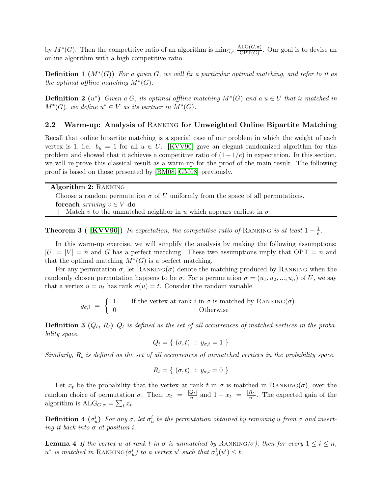by  $M^*(G)$ . Then the competitive ratio of an algorithm is  $\min_{G,\pi} \frac{\text{ALG}(G,\pi)}{\text{OPT}(G)}$  $\frac{\text{d}\text{G}\text{G}(\text{G},\pi)}{\text{OPT}(G)}$ . Our goal is to devise an online algorithm with a high competitive ratio.

**Definition 1**  $(M^*(G))$  For a given G, we will fix a particular optimal matching, and refer to it as the optimal offline matching  $M^*(G)$ .

**Definition 2**  $(u^*)$  Given a G, its optimal offline matching  $M^*(G)$  and a  $u \in U$  that is matched in  $M^*(G)$ , we define  $u^* \in V$  as its partner in  $M^*(G)$ .

#### <span id="page-5-1"></span>2.2 Warm-up: Analysis of Ranking for Unweighted Online Bipartite Matching

Recall that online bipartite matching is a special case of our problem in which the weight of each vertex is 1, i.e.  $b_u = 1$  for all  $u \in U$ . [\[KVV90\]](#page-11-0) gave an elegant randomized algorithm for this problem and showed that it achieves a competitive ratio of  $(1-1/e)$  in expectation. In this section, we will re-prove this classical result as a warm-up for the proof of the main result. The following proof is based on those presented by [\[BM08,](#page-11-6) [GM08\]](#page-11-7) previously.

Choose a random permutation  $\sigma$  of U uniformly from the space of all permutations. foreach *arriving*  $v \in V$  do

<span id="page-5-0"></span>Match v to the unmatched neighbor in u which appears earliest in  $\sigma$ .

**Theorem 3 (** [\[KVV90\]](#page-11-0)) In expectation, the competitive ratio of RANKING is at least  $1 - \frac{1}{e}$ .

In this warm-up exercise, we will simplify the analysis by making the following assumptions:  $|U| = |V| = n$  and G has a perfect matching. These two assumptions imply that  $\text{OPT} = n$  and that the optimal matching  $M^*(G)$  is a perfect matching.

For any permutation  $\sigma$ , let RANKING( $\sigma$ ) denote the matching produced by RANKING when the randomly chosen permutation happens to be  $\sigma$ . For a permutation  $\sigma = (u_1, u_2, ..., u_n)$  of U, we say that a vertex  $u = u_t$  has rank  $\sigma(u) = t$ . Consider the random variable

$$
y_{\sigma,i} = \begin{cases} 1 & \text{If the vertex at rank } i \text{ in } \sigma \text{ is matched by RANKING}(\sigma). \\ 0 & \text{Otherwise} \end{cases}
$$

**Definition 3**  $(Q_t, R_t)$   $Q_t$  is defined as the set of all occurrences of matched vertices in the probability space.

$$
Q_t = \{ (\sigma, t) : y_{\sigma, t} = 1 \}
$$

Similarly,  $R_t$  is defined as the set of all occurrences of unmatched vertices in the probability space.

$$
R_t = \{ (\sigma, t) : y_{\sigma, t} = 0 \}
$$

Let  $x_t$  be the probability that the vertex at rank t in  $\sigma$  is matched in RANKING( $\sigma$ ), over the random choice of permutation  $\sigma$ . Then,  $x_t = \frac{|Q_t|}{n!}$  $\frac{Q_t|}{n!}$  and  $1-x_t = \frac{|R_t|}{n!}$  $\frac{n_{t}}{n!}$ . The expected gain of the algorithm is  $\text{ALG}_{G,\pi} = \sum_t x_t$ .

**Definition 4**  $(\sigma_u^i)$  For any  $\sigma$ , let  $\sigma_u^i$  be the permutation obtained by removing u from  $\sigma$  and inserting it back into  $\sigma$  at position i.

<span id="page-5-2"></span>**Lemma 4** If the vertex u at rank t in  $\sigma$  is unmatched by RANKING( $\sigma$ ), then for every  $1 \leq i \leq n$ ,  $u^*$  is matched in RANKING( $\sigma_u^i$ ) to a vertex  $u'$  such that  $\sigma_u^i(u') \leq t$ .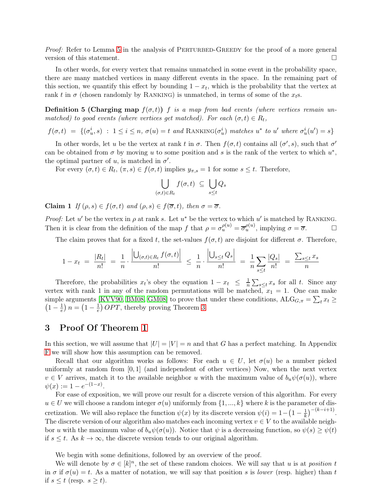Proof: Refer to Lemma [5](#page-8-0) in the analysis of PERTURBED-GREEDY for the proof of a more general version of this statement.  $\Box$ 

In other words, for every vertex that remains unmatched in some event in the probability space, there are many matched vertices in many different events in the space. In the remaining part of this section, we quantify this effect by bounding  $1 - x_t$ , which is the probability that the vertex at rank t in  $\sigma$  (chosen randomly by RANKING) is unmatched, in terms of some of the  $x<sub>t</sub>$ s.

**Definition 5 (Charging map**  $f(\sigma, t)$ ) f is a map from bad events (where vertices remain unmatched) to good events (where vertices get matched). For each  $(\sigma, t) \in R_t$ ,

 $f(\sigma, t) = \{(\sigma_u^i, s) : 1 \leq i \leq n, \sigma(u) = t \text{ and RANKING}(\sigma_u^i) \text{ matches } u^* \text{ to } u' \text{ where } \sigma_u^i(u') = s\}$ 

In other words, let u be the vertex at rank t in  $\sigma$ . Then  $f(\sigma, t)$  contains all  $(\sigma', s)$ , such that  $\sigma'$ can be obtained from  $\sigma$  by moving u to some position and s is the rank of the vertex to which  $u^*$ , the optimal partner of  $u$ , is matched in  $\sigma'$ .

For every  $(\sigma, t) \in R_t$ ,  $(\pi, s) \in f(\sigma, t)$  implies  $y_{\pi, s} = 1$  for some  $s \leq t$ . Therefore,

$$
\bigcup_{(\sigma,t)\in R_t} f(\sigma,t) \ \subseteq \ \bigcup_{s\leq t} Q_s
$$

Claim 1 If  $(\rho, s) \in f(\sigma, t)$  and  $(\rho, s) \in f(\overline{\sigma}, t)$ , then  $\sigma = \overline{\sigma}$ .

*Proof:* Let u' be the vertex in  $\rho$  at rank s. Let u<sup>\*</sup> be the vertex to which u' is matched by RANKING. Then it is clear from the definition of the map f that  $\rho = \sigma_u^{\rho(u)} = \overline{\sigma}_u^{\rho(u)}$ , implying  $\sigma = \overline{\sigma}$ .

The claim proves that for a fixed t, the set-values  $f(\sigma, t)$  are disjoint for different  $\sigma$ . Therefore,

$$
1 - x_t = \frac{|R_t|}{n!} = \frac{1}{n} \cdot \frac{\left| \bigcup_{(\sigma, t) \in R_t} f(\sigma, t) \right|}{n!} \le \frac{1}{n} \cdot \frac{\left| \bigcup_{s \le t} Q_s \right|}{n!} = \frac{1}{n} \sum_{s \le t} \frac{|Q_s|}{n!} = \frac{\sum_{s \le t} x_s}{n}
$$

Therefore, the probabilities  $x_t$ 's obey the equation  $1 - x_t \leq \frac{1}{n} \sum_{s \leq t} x_s$  for all t. Since any vertex with rank 1 in any of the random permutations will be matched,  $x_1 = 1$ . One can make simple arguments [\[KVV90,](#page-11-0) [BM08,](#page-11-6) [GM08\]](#page-11-7) to prove that under these conditions,  $ALG_{G,\pi} = \sum_t x_t \geq$  $\left(1-\frac{1}{e}\right)n = \left(1-\frac{1}{e}\right) OPT$ , thereby proving Theorem [3.](#page-5-0)

### <span id="page-6-0"></span>3 Proof Of Theorem [1](#page-2-1)

In this section, we will assume that  $|U| = |V| = n$  and that G has a perfect matching. In Appendix [F](#page-15-1) we will show how this assumption can be removed.

Recall that our algorithm works as follows: For each  $u \in U$ , let  $\sigma(u)$  be a number picked uniformly at random from  $[0,1]$  (and independent of other vertices) Now, when the next vertex  $v \in V$  arrives, match it to the available neighbor u with the maximum value of  $b_u\psi(\sigma(u))$ , where  $\psi(x) := 1 - e^{-(1-x)}$ .

For ease of exposition, we will prove our result for a discrete version of this algorithm. For every  $u \in U$  we will choose a random integer  $\sigma(u)$  uniformly from  $\{1, ..., k\}$  where k is the parameter of discretization. We will also replace the function  $\psi(x)$  by its discrete version  $\psi(i) = 1 - \left(1 - \frac{1}{k}\right)^{-(k-i+1)}$ . The discrete version of our algorithm also matches each incoming vertex  $v \in V$  to the available neighbor u with the maximum value of  $b_u\psi(\sigma(u))$ . Notice that  $\psi$  is a decreasing function, so  $\psi(s) \geq \psi(t)$ if  $s \leq t$ . As  $k \to \infty$ , the discrete version tends to our original algorithm.

We begin with some definitions, followed by an overview of the proof.

We will denote by  $\sigma \in [k]^n$ , the set of these random choices. We will say that u is at *position t* in  $\sigma$  if  $\sigma(u) = t$ . As a matter of notation, we will say that position s is lower (resp. higher) than t if  $s \leq t$  (resp.  $s \geq t$ ).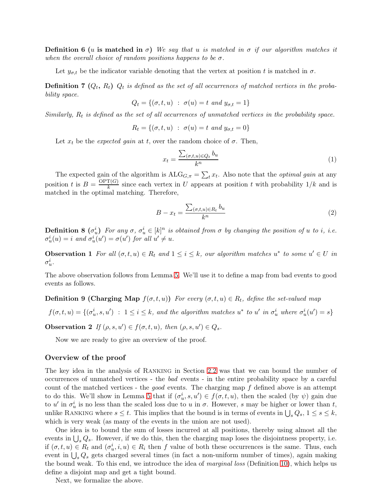**Definition 6** (u is matched in  $\sigma$ ) We say that u is matched in  $\sigma$  if our algorithm matches it when the overall choice of random positions happens to be  $\sigma$ .

Let  $y_{\sigma,t}$  be the indicator variable denoting that the vertex at position t is matched in  $\sigma$ .

**Definition 7**  $(Q_t, R_t)$   $Q_t$  is defined as the set of all occurrences of matched vertices in the probability space.

$$
Q_t = \{(\sigma, t, u) : \sigma(u) = t \text{ and } y_{\sigma, t} = 1\}
$$

Similarly,  $R_t$  is defined as the set of all occurrences of unmatched vertices in the probability space.

$$
R_t = \{(\sigma, t, u) : \sigma(u) = t \text{ and } y_{\sigma, t} = 0\}
$$

Let  $x_t$  be the *expected gain* at t, over the random choice of  $\sigma$ . Then,

<span id="page-7-3"></span>
$$
x_t = \frac{\sum_{(\sigma, t, u) \in Q_t} b_u}{k^n} \tag{1}
$$

The expected gain of the algorithm is  $ALG_{G,\pi} = \sum_t x_t$ . Also note that the *optimal gain* at any position t is  $B = \frac{\text{OPT}(G)}{k}$  $\frac{f(G)}{k}$  since each vertex in U appears at position t with probability  $1/k$  and is matched in the optimal matching. Therefore,

<span id="page-7-0"></span>
$$
B - x_t = \frac{\sum_{(\sigma, t, u) \in R_t} b_u}{k^n} \tag{2}
$$

**Definition 8**  $(\sigma_u^i)$  For any  $\sigma$ ,  $\sigma_u^i \in [k]^n$  is obtained from  $\sigma$  by changing the position of u to i, i.e.  $\sigma_u^i(u) = i$  and  $\sigma_u^i(u') = \sigma(u')$  for all  $u' \neq u$ .

**Observation 1** For all  $(\sigma, t, u) \in R_t$  and  $1 \leq i \leq k$ , our algorithm matches  $u^*$  to some  $u' \in U$  in  $\sigma^i_u$  .

<span id="page-7-1"></span>The above observation follows from Lemma [5.](#page-8-0) We'll use it to define a map from bad events to good events as follows.

**Definition 9 (Charging Map**  $f(\sigma, t, u)$ ) For every  $(\sigma, t, u) \in R_t$ , define the set-valued map

<span id="page-7-2"></span> $f(\sigma, t, u) = \{(\sigma_u^i, s, u') : 1 \leq i \leq k, \text{ and the algorithm matches } u^* \text{ to } u' \text{ in } \sigma_u^i \text{ where } \sigma_u^i(u') = s\}$ 

**Observation 2** If  $(\rho, s, u') \in f(\sigma, t, u)$ , then  $(\rho, s, u') \in Q_s$ .

Now we are ready to give an overview of the proof.

#### Overview of the proof

The key idea in the analysis of Ranking in Section [2.2](#page-5-1) was that we can bound the number of occurrences of unmatched vertices - the bad events - in the entire probability space by a careful count of the matched vertices - the *good* events. The charging map  $f$  defined above is an attempt to do this. We'll show in Lemma [5](#page-8-0) that if  $(\sigma_u^i, s, u') \in f(\sigma, t, u)$ , then the scaled (by  $\psi$ ) gain due to u' in  $\sigma^i_u$  is no less than the scaled loss due to u in  $\sigma$ . However, s may be higher or lower than t, unlike RANKING where  $s \leq t$ . This implies that the bound is in terms of events in  $\bigcup_s Q_s$ ,  $1 \leq s \leq k$ , which is very weak (as many of the events in the union are not used).

One idea is to bound the sum of losses incurred at all positions, thereby using almost all the events in  $\bigcup_s Q_s$ . However, if we do this, then the charging map loses the disjointness property, i.e. if  $(\sigma, t, u) \in R_t$  and  $(\sigma_u^i, i, u) \in R_i$  then f value of both these occurrences is the same. Thus, each event in  $\bigcup_s Q_s$  gets charged several times (in fact a non-uniform number of times), again making the bound weak. To this end, we introduce the idea of *marginal loss* (Definition [10\)](#page-9-0), which helps us define a disjoint map and get a tight bound.

Next, we formalize the above.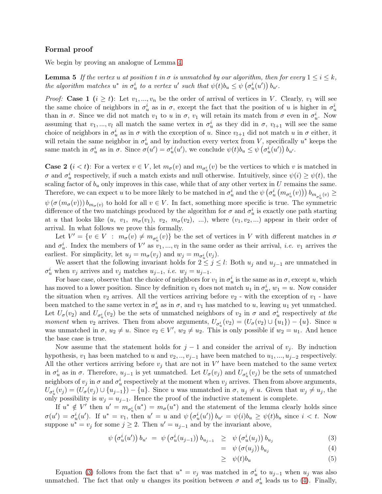#### Formal proof

<span id="page-8-0"></span>We begin by proving an analogue of Lemma [4.](#page-5-2)

**Lemma 5** If the vertex u at position t in  $\sigma$  is unmatched by our algorithm, then for every  $1 \leq i \leq k$ , the algorithm matches  $u^*$  in  $\sigma_u^i$  to a vertex  $u'$  such that  $\psi(t)b_u \leq \psi(\sigma_u^i(u')) b_{u'}$ .

*Proof:* Case 1  $(i \geq t)$ : Let  $v_1, ..., v_n$  be the order of arrival of vertices in V. Clearly,  $v_1$  will see the same choice of neighbors in  $\sigma_u^i$  as in  $\sigma$ , except the fact that the position of u is higher in  $\sigma_u^i$ than in  $\sigma$ . Since we did not match  $v_1$  to u in  $\sigma$ ,  $v_1$  will retain its match from  $\sigma$  even in  $\sigma_u^i$ . Now assuming that  $v_1, ..., v_l$  all match the same vertex in  $\sigma_u^i$  as they did in  $\sigma, v_{l+1}$  will see the same choice of neighbors in  $\sigma_u^i$  as in  $\sigma$  with the exception of u. Since  $v_{l+1}$  did not match u in  $\sigma$  either, it will retain the same neighbor in  $\sigma_u^i$  and by induction every vertex from V, specifically  $u^*$  keeps the same match in  $\sigma_u^i$  as in  $\sigma$ . Since  $\sigma(u') = \sigma_u^i(u')$ , we conclude  $\psi(t) b_u \leq \psi(\sigma_u^i(u')) b_{u'}$ .

**Case 2**  $(i < t)$ : For a vertex  $v \in V$ , let  $m_{\sigma}(v)$  and  $m_{\sigma^i}(v)$  be the vertices to which v is matched in  $\sigma$  and  $\sigma_u^i$  respectively, if such a match exists and null otherwise. Intuitively, since  $\psi(i) \geq \psi(t)$ , the scaling factor of  $b_u$  only improves in this case, while that of any other vertex in U remains the same. Therefore, we can expect u to be more likely to be matched in  $\sigma_u^i$  and the  $\psi\left(\sigma_u^i\left(m_{\sigma_u^i}(v)\right)\right)b_{m_{\sigma_u^i}(v)} \geq$  $\psi(\sigma(m_{\sigma}(v))) b_{m_{\sigma}(v)}$  to hold for all  $v \in V$ . In fact, something more specific is true. The symmetric difference of the two matchings produced by the algorithm for  $\sigma$  and  $\sigma_u^i$  is exactly one path starting at u that looks like  $(u, v_1, m_{\sigma}(v_1), v_2, m_{\sigma}(v_2), ...)$ , where  $(v_1, v_2, ...)$  appear in their order of arrival. In what follows we prove this formally.

Let  $V' = \{v \in V : m_{\sigma}(v) \neq m_{\sigma^i_u}(v)\}\$ be the set of vertices in V with different matches in  $\sigma$ and  $\sigma_u^i$ . Index the members of V' as  $v_1, ..., v_l$  in the same order as their arrival, *i.e.*  $v_1$  arrives the earliest. For simplicity, let  $u_j = m_\sigma(v_j)$  and  $w_j = m_{\sigma_u^i}(v_j)$ .

We assert that the following invariant holds for  $2 \leq j \leq l$ : Both  $u_j$  and  $u_{j-1}$  are unmatched in  $\sigma_u^i$  when  $v_j$  arrives and  $v_j$  matches  $u_{j-1}$ , *i.e.*  $w_j = u_{j-1}$ .

For base case, observe that the choice of neighbors for  $v_1$  in  $\sigma_u^i$  is the same as in  $\sigma$ , except u, which has moved to a lower position. Since by definition  $v_1$  does not match  $u_1$  in  $\sigma_u^i$ ,  $w_1 = u$ . Now consider the situation when  $v_2$  arrives. All the vertices arriving before  $v_2$  - with the exception of  $v_1$  - have been matched to the same vertex in  $\sigma_u^i$  as in  $\sigma$ , and  $v_1$  has matched to u, leaving  $u_1$  yet unmatched. Let  $U_{\sigma}(v_2)$  and  $U_{\sigma_u^i}(v_2)$  be the sets of unmatched neighbors of  $v_2$  in  $\sigma$  and  $\sigma_u^i$  respectively at the moment when  $v_2$  arrives. Then from above arguments,  $U_{\sigma_u^i}(v_2) = (U_{\sigma}(v_2) \cup \{u_1\}) - \{u\}$ . Since u was unmatched in  $\sigma$ ,  $u_2 \neq u$ . Since  $v_2 \in V'$ ,  $w_2 \neq u_2$ . This is only possible if  $w_2 = u_1$ . And hence the base case is true.

Now assume that the statement holds for  $j-1$  and consider the arrival of  $v_j$ . By induction hypothesis,  $v_1$  has been matched to u and  $v_2, \ldots, v_{j-1}$  have been matched to  $u_1, \ldots, u_{j-2}$  respectively. All the other vertices arriving before  $v_j$  that are not in  $V'$  have been matched to the same vertex in  $\sigma_u^i$  as in  $\sigma$ . Therefore,  $u_{j-1}$  is yet unmatched. Let  $U_{\sigma}(v_j)$  and  $U_{\sigma_u^i}(v_j)$  be the sets of unmatched neighbors of  $v_j$  in  $\sigma$  and  $\sigma_u^i$  respectively at the moment when  $v_j$  arrives. Then from above arguments,  $U_{\sigma_u^i}(v_j) = (U_{\sigma}(v_j) \cup \{u_{j-1}\}) - \{u\}.$  Since u was unmatched in  $\sigma, u_j \neq u$ . Given that  $w_j \neq u_j$ , the only possibility is  $w_j = u_{j-1}$ . Hence the proof of the inductive statement is complete.

If  $u^* \notin V'$  then  $u' = m_{\sigma_u^i}(u^*) = m_{\sigma}(u^*)$  and the statement of the lemma clearly holds since  $\sigma(u') = \sigma_u^i(u')$ . If  $u^* = v_1$ , then  $u' = u$  and  $\psi\left(\sigma_u^i(u')\right)b_{u'} = \psi(i)b_u \geq \psi(t)b_u$  since  $i < t$ . Now suppose  $u^* = v_j$  for some  $j \geq 2$ . Then  $u' = u_{j-1}$  and by the invariant above,

<span id="page-8-1"></span>
$$
\psi\left(\sigma_u^i(u')\right)b_{u'} = \psi\left(\sigma_u^i(u_{j-1})\right)b_{u_{j-1}} \geq \psi\left(\sigma_u^i(u_j)\right)b_{u_j} \tag{3}
$$

$$
= \psi(\sigma(u_j)) b_{u_j} \tag{4}
$$

$$
\geq \psi(t)b_u \tag{5}
$$

Equation [\(3\)](#page-8-1) follows from the fact that  $u^* = v_j$  was matched in  $\sigma_u^i$  to  $u_{j-1}$  when  $u_j$  was also unmatched. The fact that only u changes its position between  $\sigma$  and  $\sigma_u^i$  leads us to [\(4\)](#page-8-1). Finally,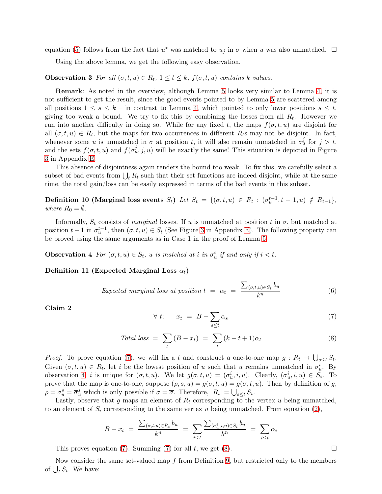equation [\(5\)](#page-8-1) follows from the fact that  $u^*$  was matched to  $u_j$  in  $\sigma$  when u was also unmatched.  $\Box$ 

<span id="page-9-4"></span>Using the above lemma, we get the following easy observation.

**Observation 3** For all  $(\sigma, t, u) \in R_t$ ,  $1 \le t \le k$ ,  $f(\sigma, t, u)$  contains k values.

Remark: As noted in the overview, although Lemma [5](#page-8-0) looks very similar to Lemma [4,](#page-5-2) it is not sufficient to get the result, since the good events pointed to by Lemma [5](#page-8-0) are scattered among all positions  $1 \leq s \leq k$  – in contrast to Lemma [4,](#page-5-2) which pointed to only lower positions  $s \leq t$ , giving too weak a bound. We try to fix this by combining the losses from all  $R_t$ . However we run into another difficulty in doing so. While for any fixed t, the maps  $f(\sigma, t, u)$  are disjoint for all  $(\sigma, t, u) \in R_t$ , but the maps for two occurrences in different  $R_t$ s may not be disjoint. In fact, whenever some u is unmatched in  $\sigma$  at position t, it will also remain unmatched in  $\sigma_u^j$  for  $j > t$ , and the sets  $f(\sigma, t, u)$  and  $f(\sigma_u^j, j, u)$  will be exactly the same! This situation is depicted in Figure [3](#page-15-2) in Appendix [E.](#page-15-3)

This absence of disjointness again renders the bound too weak. To fix this, we carefully select a subset of bad events from  $\bigcup_t R_t$  such that their set-functions are indeed disjoint, while at the same time, the total gain/loss can be easily expressed in terms of the bad events in this subset.

<span id="page-9-0"></span>**Definition 10 (Marginal loss events**  $S_t$ ) Let  $S_t = \{(\sigma, t, u) \in R_t : (\sigma_u^{t-1}, t-1, u) \notin R_{t-1}\},\$ where  $R_0 = \emptyset$ .

Informally,  $S_t$  consists of *marginal* losses. If u is unmatched at position t in  $\sigma$ , but matched at position  $t-1$  in  $\sigma_u^{t-1}$ , then  $(\sigma, t, u) \in S_t$  (See Figure [3](#page-15-2) in Appendix [E\)](#page-15-3). The following property can be proved using the same arguments as in Case 1 in the proof of Lemma [5.](#page-8-0)

<span id="page-9-2"></span>**Observation 4** For  $(\sigma, t, u) \in S_t$ , u is matched at i in  $\sigma_u^i$  if and only if  $i < t$ .

Definition 11 (Expected Marginal Loss  $\alpha_t$ )

<span id="page-9-6"></span>Expected marginal loss at position 
$$
t = \alpha_t = \frac{\sum_{(\sigma, t, u) \in S_t} b_u}{k^n}
$$
 (6)

<span id="page-9-7"></span>Claim 2

<span id="page-9-1"></span>
$$
\forall t: \quad x_t = B - \sum_{s \le t} \alpha_s \tag{7}
$$

<span id="page-9-3"></span>
$$
Total loss = \sum_{t} (B - x_t) = \sum_{t} (k - t + 1)\alpha_t \tag{8}
$$

*Proof:* To prove equation [\(7\)](#page-9-1), we will fix a t and construct a one-to-one map  $g: R_t \to \bigcup_{s \leq t} S_t$ . Given  $(\sigma, t, u) \in R_t$ , let i be the lowest position of u such that u remains unmatched in  $\sigma_u^i$ . By observation [4,](#page-9-2) *i* is unique for  $(\sigma, t, u)$ . We let  $g(\sigma, t, u) = (\sigma_u^i, i, u)$ . Clearly,  $(\sigma_u^i, i, u) \in S_i$ . To prove that the map is one-to-one, suppose  $(\rho, s, u) = g(\sigma, t, u) = g(\overline{\sigma}, t, u)$ . Then by definition of g,  $\rho = \sigma_u^s = \overline{\sigma}_u^s$  which is only possible if  $\sigma = \overline{\sigma}$ . Therefore,  $|R_t| = \bigcup_{s \leq t} S_t$ .

Lastly, observe that g maps an element of  $R_t$  corresponding to the vertex u being unmatched, to an element of  $S_i$  corresponding to the same vertex u being unmatched. From equation [\(2\)](#page-7-0),

$$
B - x_t = \frac{\sum_{(\sigma, t, u) \in R_t} b_u}{k^n} = \sum_{i \le t} \frac{\sum_{(\sigma_u^i, i, u) \in S_i} b_u}{k^n} = \sum_{i \le t} \alpha_i
$$

This proves equation [\(7\)](#page-9-1). Summing (7) for all t, we get [\(8\)](#page-9-3).

<span id="page-9-5"></span>Now consider the same set-valued map f from Definition [9,](#page-7-1) but restricted only to the members of  $\bigcup_t S_t$ . We have: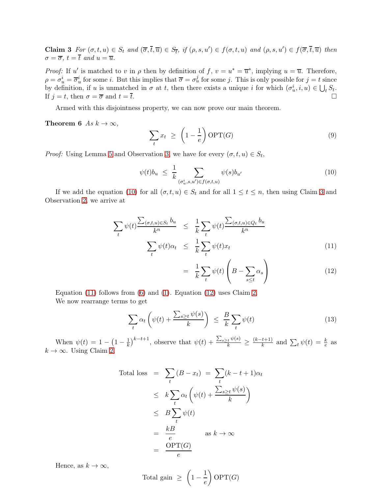**Claim 3** For  $(\sigma, t, u) \in S_t$  and  $(\overline{\sigma}, \overline{t}, \overline{u}) \in S_{\overline{t}}$ , if  $(\rho, s, u') \in f(\sigma, t, u)$  and  $(\rho, s, u') \in f(\overline{\sigma}, \overline{t}, \overline{u})$  then  $\sigma = \overline{\sigma}$ ,  $t = \overline{t}$  and  $u = \overline{u}$ .

*Proof:* If u' is matched to v in  $\rho$  then by definition of f,  $v = u^* = \overline{u}^*$ , implying  $u = \overline{u}$ . Therefore,  $\rho = \sigma_u^i = \overline{\sigma}_u^i$  for some *i*. But this implies that  $\overline{\sigma} = \sigma_u^j$  for some *j*. This is only possible for  $j = t$  since by definition, if u is unmatched in  $\sigma$  at t, then there exists a unique i for which  $(\sigma_u^i, i, u) \in \bigcup_t S_t$ . If  $j = t$ , then  $\sigma = \overline{\sigma}$  and  $t = \overline{t}$ .

Armed with this disjointness property, we can now prove our main theorem.

Theorem 6 As  $k \to \infty$ ,

$$
\sum_{t} x_{t} \geq \left(1 - \frac{1}{e}\right) \text{OPT}(G) \tag{9}
$$

*Proof:* Using Lemma [5](#page-8-0) and Observation [3,](#page-9-4) we have for every  $(\sigma, t, u) \in S_t$ ,

<span id="page-10-0"></span>
$$
\psi(t)b_u \leq \frac{1}{k} \sum_{(\sigma_u^i, s, u') \in f(\sigma, t, u)} \psi(s)b_{u'} \tag{10}
$$

If we add the equation [\(10\)](#page-10-0) for all  $(\sigma, t, u) \in S_t$  and for all  $1 \le t \le n$ , then using Claim [3](#page-9-5) and Observation [2,](#page-7-2) we arrive at

<span id="page-10-1"></span>
$$
\sum_{t} \psi(t) \frac{\sum_{(\sigma, t, u) \in S_t} b_u}{k^n} \leq \frac{1}{k} \sum_{t} \psi(t) \frac{\sum_{(\sigma, t, u) \in Q_t} b_u}{k^n}
$$
\n
$$
\sum_{t} \psi(t) \alpha_t \leq \frac{1}{k} \sum_{t} \psi(t) x_t
$$
\n(11)

$$
= \frac{1}{k} \sum_{t} \psi(t) \left( B - \sum_{s \le t} \alpha_s \right) \tag{12}
$$

Equation [\(11\)](#page-10-1) follows from [\(6\)](#page-9-6) and [\(1\)](#page-7-3). Equation [\(12\)](#page-10-1) uses Claim [2.](#page-9-7) We now rearrange terms to get

<span id="page-10-2"></span>
$$
\sum_{t} \alpha_{t} \left( \psi(t) + \frac{\sum_{s \geq t} \psi(s)}{k} \right) \leq \frac{B}{k} \sum_{t} \psi(t) \tag{13}
$$

When  $\psi(t) = 1 - \left(1 - \frac{1}{k}\right)^{k-t+1}$ , observe that  $\psi(t) + \frac{\sum_{s \geq t} \psi(s)}{k} \geq \frac{(k-t+1)}{k}$  $\frac{t+1}{k}$  and  $\sum_t \psi(t) = \frac{k}{e}$  as  $k \to \infty$ . Using Claim [2,](#page-9-7)

Total loss 
$$
= \sum_{t} (B - x_{t}) = \sum_{t} (k - t + 1)\alpha_{t}
$$

$$
\leq k \sum_{t} \alpha_{t} \left( \psi(t) + \frac{\sum_{s \geq t} \psi(s)}{k} \right)
$$

$$
\leq B \sum_{t} \psi(t)
$$

$$
= \frac{kB}{e} \quad \text{as } k \to \infty
$$

$$
= \frac{\text{OPT}(G)}{e}
$$

Hence, as  $k \to \infty$ ,

Total gain 
$$
\geq \left(1 - \frac{1}{e}\right) \text{OPT}(G)
$$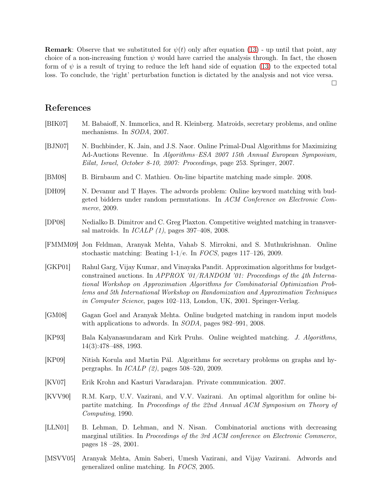**Remark:** Observe that we substituted for  $\psi(t)$  only after equation [\(13\)](#page-10-2) - up until that point, any choice of a non-increasing function  $\psi$  would have carried the analysis through. In fact, the chosen form of  $\psi$  is a result of trying to reduce the left hand side of equation [\(13\)](#page-10-2) to the expected total loss. To conclude, the 'right' perturbation function is dictated by the analysis and not vice versa.

 $\Box$ 

### References

- <span id="page-11-8"></span>[BIK07] M. Babaioff, N. Immorlica, and R. Kleinberg. Matroids, secretary problems, and online mechanisms. In SODA, 2007.
- <span id="page-11-2"></span>[BJN07] N. Buchbinder, K. Jain, and J.S. Naor. Online Primal-Dual Algorithms for Maximizing Ad-Auctions Revenue. In Algorithms–ESA 2007 15th Annual European Symposium, Eilat, Israel, October 8-10, 2007: Proceedings, page 253. Springer, 2007.
- <span id="page-11-6"></span>[BM08] B. Birnbaum and C. Mathieu. On-line bipartite matching made simple. 2008.
- <span id="page-11-12"></span>[DH09] N. Devanur and T Hayes. The adwords problem: Online keyword matching with budgeted bidders under random permutations. In ACM Conference on Electronic Commerce, 2009.
- <span id="page-11-9"></span>[DP08] Nedialko B. Dimitrov and C. Greg Plaxton. Competitive weighted matching in transversal matroids. In ICALP (1), pages 397–408, 2008.
- <span id="page-11-13"></span>[FMMM09] Jon Feldman, Aranyak Mehta, Vahab S. Mirrokni, and S. Muthukrishnan. Online stochastic matching: Beating 1-1/e. In FOCS, pages 117–126, 2009.
- <span id="page-11-3"></span>[GKP01] Rahul Garg, Vijay Kumar, and Vinayaka Pandit. Approximation algorithms for budgetconstrained auctions. In APPROX '01/RANDOM' 01: Proceedings of the 4th International Workshop on Approximation Algorithms for Combinatorial Optimization Problems and 5th International Workshop on Randomization and Approximation Techniques in Computer Science, pages 102–113, London, UK, 2001. Springer-Verlag.
- <span id="page-11-7"></span>[GM08] Gagan Goel and Aranyak Mehta. Online budgeted matching in random input models with applications to adwords. In SODA, pages 982–991, 2008.
- <span id="page-11-11"></span>[KP93] Bala Kalyanasundaram and Kirk Pruhs. Online weighted matching. J. Algorithms, 14(3):478–488, 1993.
- <span id="page-11-10"></span>[KP09] Nitish Korula and Martin Pál. Algorithms for secretary problems on graphs and hypergraphs. In ICALP (2), pages 508–520, 2009.
- <span id="page-11-5"></span>[KV07] Erik Krohn and Kasturi Varadarajan. Private communication. 2007.
- <span id="page-11-0"></span>[KVV90] R.M. Karp, U.V. Vazirani, and V.V. Vazirani. An optimal algorithm for online bipartite matching. In Proceedings of the 22nd Annual ACM Symposium on Theory of Computing, 1990.
- <span id="page-11-4"></span>[LLN01] B. Lehman, D. Lehman, and N. Nisan. Combinatorial auctions with decreasing marginal utilities. In Proceedings of the 3rd ACM conference on Electronic Commerce, pages 18 –28, 2001.
- <span id="page-11-1"></span>[MSVV05] Aranyak Mehta, Amin Saberi, Umesh Vazirani, and Vijay Vazirani. Adwords and generalized online matching. In FOCS, 2005.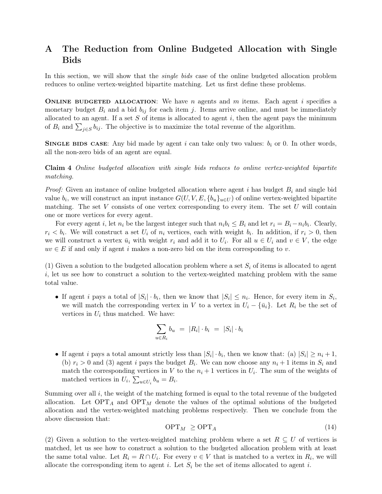## <span id="page-12-0"></span>A The Reduction from Online Budgeted Allocation with Single Bids

In this section, we will show that the *single bids* case of the online budgeted allocation problem reduces to online vertex-weighted bipartite matching. Let us first define these problems.

**ONLINE BUDGETED ALLOCATION:** We have n agents and m items. Each agent i specifies a monetary budget  $B_i$  and a bid  $b_{ij}$  for each item j. Items arrive online, and must be immediately allocated to an agent. If a set  $S$  of items is allocated to agent  $i$ , then the agent pays the minimum of  $B_i$  and  $\sum_{j\in S} b_{ij}$ . The objective is to maximize the total revenue of the algorithm.

**SINGLE BIDS CASE:** Any bid made by agent i can take only two values:  $b_i$  or 0. In other words, all the non-zero bids of an agent are equal.

Claim 4 Online budgeted allocation with single bids reduces to online vertex-weighted bipartite matching.

*Proof:* Given an instance of online budgeted allocation where agent i has budget  $B_i$  and single bid value  $b_i$ , we will construct an input instance  $G(U, V, E, \{b_u\}_{u \in U})$  of online vertex-weighted bipartite matching. The set  $V$  consists of one vertex corresponding to every item. The set  $U$  will contain one or more vertices for every agent.

For every agent *i*, let  $n_i$  be the largest integer such that  $n_i b_i \leq B_i$  and let  $r_i = B_i - n_i b_i$ . Clearly,  $r_i < b_i$ . We will construct a set  $U_i$  of  $n_i$  vertices, each with weight  $b_i$ . In addition, if  $r_i > 0$ , then we will construct a vertex  $\bar{u}_i$  with weight  $r_i$  and add it to  $U_i$ . For all  $u \in U_i$  and  $v \in V$ , the edge  $uv \in E$  if and only if agent i makes a non-zero bid on the item corresponding to v.

(1) Given a solution to the budgeted allocation problem where a set  $S_i$  of items is allocated to agent  $i,$  let us see how to construct a solution to the vertex-weighted matching problem with the same total value.

• If agent i pays a total of  $|S_i| \cdot b_i$ , then we know that  $|S_i| \leq n_i$ . Hence, for every item in  $S_i$ , we will match the corresponding vertex in V to a vertex in  $U_i - {\bar{u}_i}$ . Let  $R_i$  be the set of vertices in  $U_i$  thus matched. We have:

$$
\sum_{u \in R_i} b_u = |R_i| \cdot b_i = |S_i| \cdot b_i
$$

• If agent *i* pays a total amount strictly less than  $|S_i| \cdot b_i$ , then we know that: (a)  $|S_i| \ge n_i + 1$ , (b)  $r_i > 0$  and (3) agent i pays the budget  $B_i$ . We can now choose any  $n_i + 1$  items in  $S_i$  and match the corresponding vertices in V to the  $n_i + 1$  vertices in  $U_i$ . The sum of the weights of matched vertices in  $U_i$ ,  $\sum_{u \in U_i} b_u = B_i$ .

Summing over all  $i$ , the weight of the matching formed is equal to the total revenue of the budgeted allocation. Let  $\text{OPT}_A$  and  $\text{OPT}_M$  denote the values of the optimal solutions of the budgeted allocation and the vertex-weighted matching problems respectively. Then we conclude from the above discussion that:

<span id="page-12-1"></span>
$$
\text{OPT}_M \ge \text{OPT}_A \tag{14}
$$

(2) Given a solution to the vertex-weighted matching problem where a set  $R \subseteq U$  of vertices is matched, let us see how to construct a solution to the budgeted allocation problem with at least the same total value. Let  $R_i = R \cap U_i$ . For every  $v \in V$  that is matched to a vertex in  $R_i$ , we will allocate the corresponding item to agent i. Let  $S_i$  be the set of items allocated to agent i.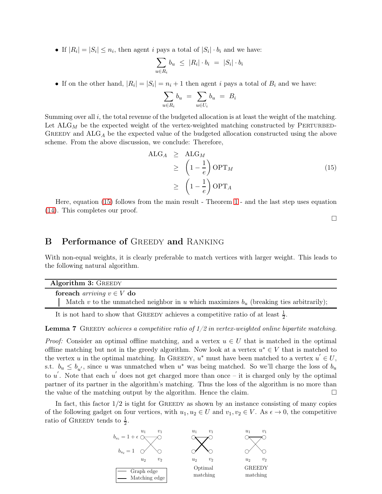• If  $|R_i| = |S_i| \le n_i$ , then agent i pays a total of  $|S_i| \cdot b_i$  and we have:

$$
\sum_{u \in R_i} b_u \le |R_i| \cdot b_i = |S_i| \cdot b_i
$$

• If on the other hand,  $|R_i| = |S_i| = n_i + 1$  then agent i pays a total of  $B_i$  and we have:

$$
\sum_{u \in R_i} b_u = \sum_{u \in U_i} b_u = B_i
$$

Summing over all  $i$ , the total revenue of the budgeted allocation is at least the weight of the matching. Let  $\text{ALG}_M$  be the expected weight of the vertex-weighted matching constructed by PERTURBED-GREEDY and  $ALG_A$  be the expected value of the budgeted allocation constructed using the above scheme. From the above discussion, we conclude: Therefore,

<span id="page-13-1"></span>
$$
\begin{aligned}\n\text{ALG}_{A} &\geq \text{ALG}_{M} \\
&\geq \left(1 - \frac{1}{e}\right) \text{OPT}_{M} \\
&\geq \left(1 - \frac{1}{e}\right) \text{OPT}_{A}\n\end{aligned} \tag{15}
$$

Here, equation [\(15\)](#page-13-1) follows from the main result - Theorem [1](#page-2-1) - and the last step uses equation [\(14\)](#page-12-1). This completes our proof.

 $\Box$ 

### <span id="page-13-0"></span>**B** Performance of GREEDY and RANKING

With non-equal weights, it is clearly preferable to match vertices with larger weight. This leads to the following natural algorithm.

|                                       | <b>Algorithm 3: GREEDY</b>                                                                |
|---------------------------------------|-------------------------------------------------------------------------------------------|
| for each <i>arriving</i> $v \in V$ do |                                                                                           |
|                                       | Match v to the unmatched neighbor in u which maximizes $b_u$ (breaking ties arbitrarily); |

It is not hard to show that GREEDY achieves a competitive ratio of at least  $\frac{1}{2}$ .

**Lemma 7** GREEDY achieves a competitive ratio of  $1/2$  in vertex-weighted online bipartite matching.

*Proof:* Consider an optimal offline matching, and a vertex  $u \in U$  that is matched in the optimal offline matching but not in the greedy algorithm. Now look at a vertex  $u^* \in V$  that is matched to the vertex u in the optimal matching. In GREEDY,  $u^*$  must have been matched to a vertex  $u' \in U$ , s.t.  $b_u \leq b_{u'}$ , since u was unmatched when  $u^*$  was being matched. So we'll charge the loss of  $b_u$ to u'. Note that each u' does not get charged more than once – it is charged only by the optimal partner of its partner in the algorithm's matching. Thus the loss of the algorithm is no more than the value of the matching output by the algorithm. Hence the claim.

In fact, this factor  $1/2$  is tight for GREEDY as shown by an instance consisting of many copies of the following gadget on four vertices, with  $u_1, u_2 \in U$  and  $v_1, v_2 \in V$ . As  $\epsilon \to 0$ , the competitive ratio of GREEDY tends to  $\frac{1}{2}$ .

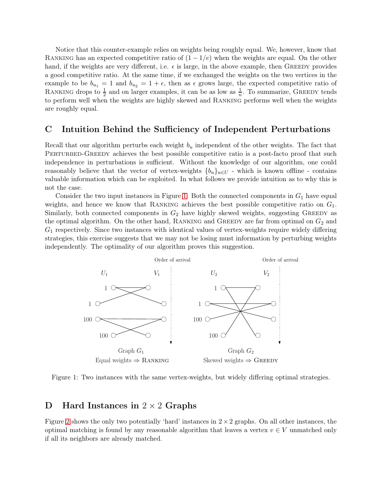Notice that this counter-example relies on weights being roughly equal. We, however, know that RANKING has an expected competitive ratio of  $(1 - 1/e)$  when the weights are equal. On the other hand, if the weights are very different, i.e.  $\epsilon$  is large, in the above example, then GREEDY provides a good competitive ratio. At the same time, if we exchanged the weights on the two vertices in the example to be  $b_{u_1} = 1$  and  $b_{u_2} = 1 + \epsilon$ , then as  $\epsilon$  grows large, the expected competitive ratio of RANKING drops to  $\frac{1}{2}$  and on larger examples, it can be as low as  $\frac{1}{n}$ . To summarize, GREEDY tends to perform well when the weights are highly skewed and Ranking performs well when the weights are roughly equal.

### <span id="page-14-0"></span>C Intuition Behind the Sufficiency of Independent Perturbations

Recall that our algorithm perturbs each weight  $b<sub>u</sub>$  independent of the other weights. The fact that PERTURBED-GREEDY achieves the best possible competitive ratio is a post-facto proof that such independence in perturbations is sufficient. Without the knowledge of our algorithm, one could reasonably believe that the vector of vertex-weights  $\{b_u\}_{u\in U}$  - which is known offline - contains valuable information which can be exploited. In what follows we provide intuition as to why this is not the case.

Consider the two input instances in Figure [1.](#page-14-2) Both the connected components in  $G_1$  have equal weights, and hence we know that RANKING achieves the best possible competitive ratio on  $G_1$ . Similarly, both connected components in  $G_2$  have highly skewed weights, suggesting GREEDY as the optimal algorithm. On the other hand, RANKING and GREEDY are far from optimal on  $G_2$  and  $G_1$  respectively. Since two instances with identical values of vertex-weights require widely differing strategies, this exercise suggests that we may not be losing must information by perturbing weights independently. The optimality of our algorithm proves this suggestion.



<span id="page-14-2"></span>Figure 1: Two instances with the same vertex-weights, but widely differing optimal strategies.

### <span id="page-14-1"></span>D Hard Instances in  $2 \times 2$  Graphs

Figure [2](#page-15-0) shows the only two potentially 'hard' instances in  $2 \times 2$  graphs. On all other instances, the optimal matching is found by any reasonable algorithm that leaves a vertex  $v \in V$  unmatched only if all its neighbors are already matched.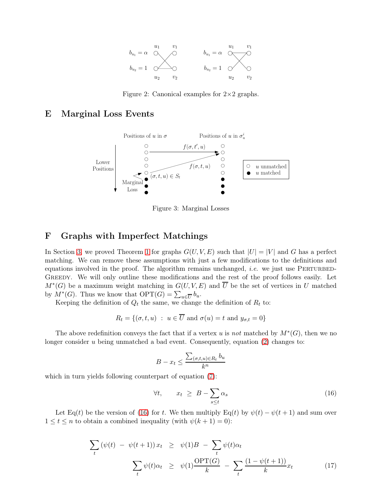

<span id="page-15-0"></span>Figure 2: Canonical examples for  $2\times 2$  graphs.

### <span id="page-15-3"></span>E Marginal Loss Events



<span id="page-15-2"></span>Figure 3: Marginal Losses

### <span id="page-15-1"></span>F Graphs with Imperfect Matchings

In Section [3,](#page-6-0) we proved Theorem [1](#page-2-1) for graphs  $G(U, V, E)$  such that  $|U| = |V|$  and G has a perfect matching. We can remove these assumptions with just a few modifications to the definitions and equations involved in the proof. The algorithm remains unchanged, *i.e.* we just use PERTURBED-GREEDY. We will only outline these modifications and the rest of the proof follows easily. Let  $M^*(G)$  be a maximum weight matching in  $G(U, V, E)$  and  $\overline{U}$  be the set of vertices in U matched by  $M^*(G)$ . Thus we know that  $\text{OPT}(G) = \sum_{u \in \overline{U}} b_u$ .

Keeping the definition of  $Q_t$  the same, we change the definition of  $R_t$  to:

$$
R_t = \{(\sigma, t, u) : u \in \overline{U} \text{ and } \sigma(u) = t \text{ and } y_{\sigma, t} = 0\}
$$

The above redefinition conveys the fact that if a vertex u is not matched by  $M^*(G)$ , then we no longer consider u being unmatched a bad event. Consequently, equation  $(2)$  changes to:

$$
B - x_t \le \frac{\sum_{(\sigma, t, u) \in R_t} b_u}{k^n}
$$

which in turn yields following counterpart of equation  $(7)$ :

<span id="page-15-4"></span>
$$
\forall t, \qquad x_t \geq B - \sum_{s \leq t} \alpha_s \tag{16}
$$

Let Eq(t) be the version of [\(16\)](#page-15-4) for t. We then multiply Eq(t) by  $\psi(t) - \psi(t+1)$  and sum over  $1 \leq t \leq n$  to obtain a combined inequality (with  $\psi(k+1) = 0$ ):

<span id="page-15-5"></span>
$$
\sum_{t} (\psi(t) - \psi(t+1)) x_t \geq \psi(1)B - \sum_{t} \psi(t) \alpha_t
$$
\n
$$
\sum_{t} \psi(t) \alpha_t \geq \psi(1) \frac{\text{OPT}(G)}{k} - \sum_{t} \frac{(1 - \psi(t+1))}{k} x_t \tag{17}
$$